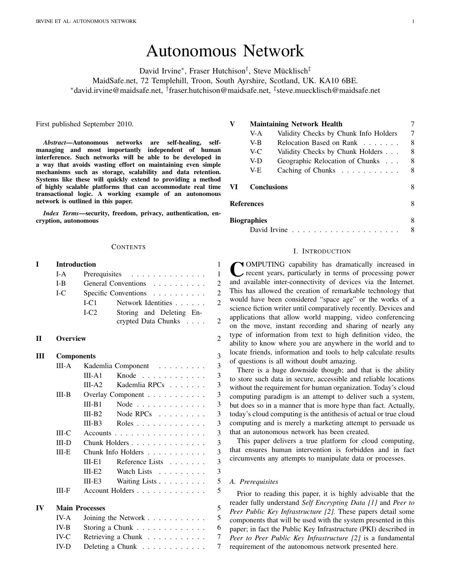# Autonomous Network

David Irvine<sup>∗</sup>, Fraser Hutchison<sup>†</sup>, Steve Mücklisch<sup>‡</sup> MaidSafe.net, 72 Templehill, Troon, South Ayrshire, Scotland, UK. KA10 6BE. <sup>∗</sup>david.irvine@maidsafe.net, † fraser.hutchison@maidsafe.net, ‡ steve.muecklisch@maidsafe.net

First published September 2010.

*Abstract*—Autonomous networks are self-healing, selfmanaging and most importantly independent of human interference. Such networks will be able to be developed in a way that avoids wasting effort on maintaining even simple mechanisms such as storage, scalability and data retention. Systems like these will quickly extend to providing a method of highly scalable platforms that can accommodate real time transactional logic. A working example of an autonomous network is outlined in this paper.

*Index Terms*—security, freedom, privacy, authentication, encryption, autonomous

#### **CONTENTS**

| T            | <b>Introduction</b> |                                                                                                             | 1              |  |  |  |  |
|--------------|---------------------|-------------------------------------------------------------------------------------------------------------|----------------|--|--|--|--|
|              | $I-A$               | $\mathbf{1}$<br>Prerequisites<br>.                                                                          |                |  |  |  |  |
|              | $I-B$               | General Conventions                                                                                         | $\overline{c}$ |  |  |  |  |
|              | $L_{\rm C}$         | Specific Conventions<br>.                                                                                   | $\overline{c}$ |  |  |  |  |
|              |                     | LCl<br>Network Identities                                                                                   | $\overline{2}$ |  |  |  |  |
|              |                     | $I-C2$<br>Storing and Deleting En-                                                                          |                |  |  |  |  |
|              |                     | crypted Data Chunks                                                                                         | $\overline{2}$ |  |  |  |  |
| $\mathbf{I}$ | <b>Overview</b>     |                                                                                                             | $\overline{2}$ |  |  |  |  |
| Ш            | <b>Components</b>   |                                                                                                             | 3              |  |  |  |  |
|              | $III-A$             | Kademlia Component<br>$\begin{array}{cccccccccccccc} . & . & . & . & . & . & . & . & . & . & . \end{array}$ | 3              |  |  |  |  |
|              |                     | Knode $\ldots$<br>$III - A1$                                                                                | 3              |  |  |  |  |
|              |                     | Kademlia RPCs<br>$III- A2$                                                                                  | 3              |  |  |  |  |
|              | $III-B$             | Overlay Component                                                                                           | 3              |  |  |  |  |
|              |                     | $III-B1$<br>Node $\ldots$                                                                                   | 3              |  |  |  |  |
|              |                     | $III-B2$<br>Node RPCs $\dots \dots$                                                                         | 3              |  |  |  |  |
|              |                     | $III-B3$<br>Roles                                                                                           | 3              |  |  |  |  |
|              | III-C               | Accounts                                                                                                    | 3              |  |  |  |  |
|              | $III-D$             | 3<br>Chunk Holders                                                                                          |                |  |  |  |  |
|              | $III-E$             | Chunk Info Holders                                                                                          | 3              |  |  |  |  |
|              |                     | Reference Lists<br>$III - E1$                                                                               | 3              |  |  |  |  |
|              |                     | Watch Lists<br>$III-E2$                                                                                     | 3              |  |  |  |  |
|              |                     | Waiting Lists<br>$III-E3$                                                                                   | 5              |  |  |  |  |
|              | $III-F$             | Account Holders                                                                                             | 5              |  |  |  |  |
| IV           |                     | <b>Main Processes</b>                                                                                       |                |  |  |  |  |
|              | $IV-A$              | Joining the Network $\dots \dots \dots$                                                                     | 5              |  |  |  |  |
|              | $IV-B$              | Storing a Chunk                                                                                             | 6              |  |  |  |  |
|              | $IV-C$              | Retrieving a Chunk                                                                                          | $\overline{7}$ |  |  |  |  |
|              | $IV-D$              | Deleting a Chunk                                                                                            | 7              |  |  |  |  |

| V  |                    | <b>Maintaining Network Health</b>                 |   |  |
|----|--------------------|---------------------------------------------------|---|--|
|    | V-A                | Validity Checks by Chunk Info Holders             | 7 |  |
|    | V-B                | Relocation Based on Rank                          | 8 |  |
|    | V-C                | Validity Checks by Chunk Holders                  | 8 |  |
|    | V-D                | Geographic Relocation of Chunks                   | 8 |  |
|    | V-E                | Caching of Chunks $\ldots$                        | 8 |  |
| VI | <b>Conclusions</b> |                                                   | 8 |  |
|    | <b>References</b>  |                                                   | 8 |  |
|    | <b>Biographies</b> |                                                   | 8 |  |
|    |                    | David Irvine $\ldots \ldots \ldots \ldots \ldots$ |   |  |

## I. INTRODUCTION

<span id="page-0-0"></span>COMPUTING capability has dramatically increased in recent years, particularly in terms of processing power and available inter-connectivity of devices via the Internet. OMPUTING capability has dramatically increased in recent years, particularly in terms of processing power This has allowed the creation of remarkable technology that would have been considered "space age" or the works of a science fiction writer until comparatively recently. Devices and applications that allow world mapping, video conferencing on the move, instant recording and sharing of nearly any type of information from text to high definition video, the ability to know where you are anywhere in the world and to locate friends, information and tools to help calculate results of questions is all without doubt amazing.

There is a huge downside though; and that is the ability to store such data in secure, accessible and reliable locations without the requirement for human organization. Today's cloud computing paradigm is an attempt to deliver such a system, but does so in a manner that is more hype than fact. Actually, today's cloud computing is the antithesis of actual or true cloud computing and is merely a marketing attempt to persuade us that an autonomous network has been created.

This paper delivers a true platform for cloud computing, that ensures human intervention is forbidden and in fact circumvents any attempts to manipulate data or processes.

## <span id="page-0-1"></span>*A. Prerequisites*

Prior to reading this paper, it is highly advisable that the reader fully understand *Self Encrypting Data [\[1\]](#page-7-7)* and *Peer to Peer Public Key Infrastructure [\[2\]](#page-7-8).* These papers detail some components that will be used with the system presented in this paper; in fact the Public Key Infrastructure (PKI) described in *Peer to Peer Public Key Infrastructure [\[2\]](#page-7-8)* is a fundamental requirement of the autonomous network presented here.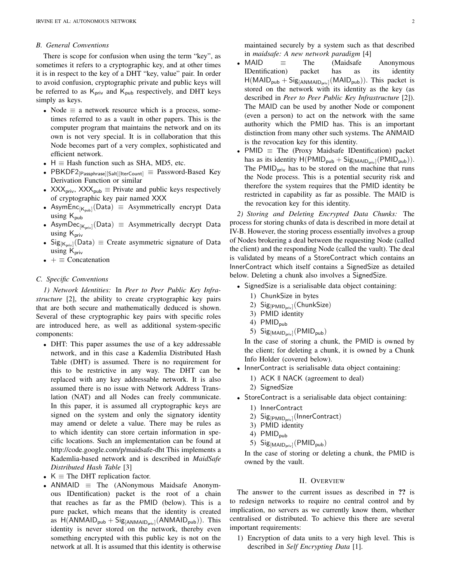### <span id="page-1-0"></span>*B. General Conventions*

There is scope for confusion when using the term "key", as sometimes it refers to a cryptographic key, and at other times it is in respect to the key of a DHT "key, value" pair. In order to avoid confusion, cryptographic private and public keys will be referred to as  $K_{\text{priv}}$  and  $K_{\text{pub}}$  respectively, and DHT keys simply as keys.

- Node  $\equiv$  a network resource which is a process, sometimes referred to as a vault in other papers. This is the computer program that maintains the network and on its own is not very special. It is in collaboration that this Node becomes part of a very complex, sophisticated and efficient network.
- $H \equiv$  Hash function such as SHA, MD5, etc.
- PBKDF2<sub>[Passphrase]</sub>[Salt][IterCount]  $\equiv$  Password-Based Key Derivation Function or similar
- XXX<sub>priv</sub>, XXX<sub>pub</sub>  $\equiv$  Private and public keys respectively of cryptographic key pair named XXX
- AsymEnc<sub>[K<sub>pub</sub>](Data)  $\equiv$  Asymmetrically encrypt Data</sub> using  $K_{\text{pub}}$
- Asym $\textsf{Dec}_{\lceil K_{\textsf{priv}}\rceil}(\textsf{Data}) \equiv \textsf{Asymmetrically }$  decrypt Data using  $K_{\text{priv}}$
- Sig<sub>[K<sub>priv</sub>](Data)  $\equiv$  Create asymmetric signature of Data</sub> using  $K_{\text{priv}}$
- $\pm \equiv$  Concatenation

#### <span id="page-1-1"></span>*C. Specific Conventions*

<span id="page-1-2"></span>*1) Network Identities:* In *Peer to Peer Public Key Infrastructure* [\[2\]](#page-7-8), the ability to create cryptographic key pairs that are both secure and mathematically deduced is shown. Several of these cryptographic key pairs with specific roles are introduced here, as well as additional system-specific components:

- DHT: This paper assumes the use of a key addressable network, and in this case a Kademlia Distributed Hash Table (DHT) is assumed. There is no requirement for this to be restrictive in any way. The DHT can be replaced with any key addressable network. It is also assumed there is no issue with Network Address Translation (NAT) and all Nodes can freely communicate. In this paper, it is assumed all cryptographic keys are signed on the system and only the signatory identity may amend or delete a value. There may be rules as to which identity can store certain information in specific locations. Such an implementation can be found at http://code.google.com/p/maidsafe-dht This implements a Kademlia-based network and is described in *MaidSafe Distributed Hash Table* [\[3\]](#page-7-9)
- $K \equiv$  The DHT replication factor.
- ANMAID  $\equiv$  The (ANonymous Maidsafe Anonymous IDentification) packet is the root of a chain that reaches as far as the PMID (below). This is a pure packet, which means that the identity is created as  $H(ANMAID_{pub} + Sig_{[ANMAID_{priv}]}(ANMAID_{pub}))$ . This identity is never stored on the network, thereby even something encrypted with this public key is not on the network at all. It is assumed that this identity is otherwise

maintained securely by a system such as that described in *maidsafe: A new network paradigm* [\[4\]](#page-7-10)

- MAID  $\equiv$  The (Maidsafe Anonymous IDentification) packet has as its identity  $H(MAID_{pub} + Sig_{[ANMAID_{priv}]}(MAID_{pub}))$ . This packet is stored on the network with its identity as the key (as described in *Peer to Peer Public Key Infrastructure* [\[2\]](#page-7-8)). The MAID can be used by another Node or component (even a person) to act on the network with the same authority which the PMID has. This is an important distinction from many other such systems. The ANMAID is the revocation key for this identity.
- PMID  $\equiv$  The (Proxy Maidsafe IDentification) packet has as its identity  $H(PMID_{pub} + Sig_{[MAID_{priv}]}(PMID_{pub})).$ The  $PMID<sub>priv</sub>$  has to be stored on the machine that runs the Node process. This is a potential security risk and therefore the system requires that the PMID identity be restricted in capability as far as possible. The MAID is the revocation key for this identity.

<span id="page-1-3"></span>*2) Storing and Deleting Encrypted Data Chunks:* The process for storing chunks of data is described in more detail at [IV-B.](#page-5-0) However, the storing process essentially involves a group of Nodes brokering a deal between the requesting Node (called the client) and the responding Node (called the vault). The deal is validated by means of a StoreContract which contains an InnerContract which itself contains a SignedSize as detailed below. Deleting a chunk also involves a SignedSize.

- SignedSize is a serialisable data object containing:
	- 1) ChunkSize in bytes
	- 2) Sig<sub>[PMID<sub>priv</sub>](ChunkSize)</sub>
	- 3) PMID identity
	- 4)  $PMID_{pub}$
	- 5)  $Sig_{[MAID_{priv}]}$ (PMID<sub>pub</sub>)

In the case of storing a chunk, the PMID is owned by the client; for deleting a chunk, it is owned by a Chunk Info Holder (covered below).

- InnerContract is serialisable data object containing:
	- 1) ACK || NACK (agreement to deal)
	- 2) SignedSize
- StoreContract is a serialisable data object containing:
	- 1) InnerContract
	- 2) Sig<sub>[PMID<sub>priv</sub>](InnerContract)</sub>
	- 3) PMID identity
	- 4) PMID<sub>pub</sub>
	- 5)  $Sig_{[MAID_{priv}]}$ (PMID<sub>pub</sub>)

In the case of storing or deleting a chunk, the PMID is owned by the vault.

#### II. OVERVIEW

<span id="page-1-4"></span>The answer to the current issues as described in ?? is to redesign networks to require no central control and by implication, no servers as we currently know them, whether centralised or distributed. To achieve this there are several important requirements:

1) Encryption of data units to a very high level. This is described in *Self Encrypting Data* [\[1\]](#page-7-7).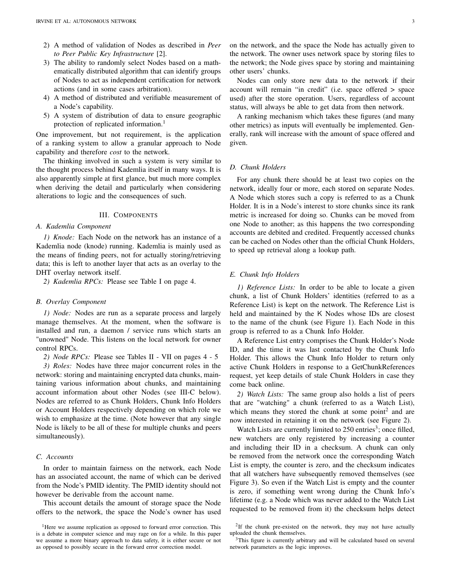- 2) A method of validation of Nodes as described in *Peer to Peer Public Key Infrastructure* [\[2\]](#page-7-8).
- 3) The ability to randomly select Nodes based on a mathematically distributed algorithm that can identify groups of Nodes to act as independent certification for network actions (and in some cases arbitration).
- 4) A method of distributed and verifiable measurement of a Node's capability.
- 5) A system of distribution of data to ensure geographic protection of replicated information.<sup>[1](#page-2-13)</sup>

One improvement, but not requirement, is the application of a ranking system to allow a granular approach to Node capability and therefore *cost* to the network.

The thinking involved in such a system is very similar to the thought process behind Kademlia itself in many ways. It is also apparently simple at first glance, but much more complex when deriving the detail and particularly when considering alterations to logic and the consequences of such.

### III. COMPONENTS

## <span id="page-2-1"></span><span id="page-2-0"></span>*A. Kademlia Component*

<span id="page-2-2"></span>*1) Knode:* Each Node on the network has an instance of a Kademlia node (knode) running. Kademlia is mainly used as the means of finding peers, not for actually storing/retrieving data; this is left to another layer that acts as an overlay to the DHT overlay network itself.

<span id="page-2-3"></span>*2) Kademlia RPCs:* Please see Table [I](#page-3-0) on page [4.](#page-3-0)

#### <span id="page-2-4"></span>*B. Overlay Component*

<span id="page-2-5"></span>*1) Node:* Nodes are run as a separate process and largely manage themselves. At the moment, when the software is installed and run, a daemon / service runs which starts an "unowned" Node. This listens on the local network for owner control RPCs.

<span id="page-2-6"></span>*2) Node RPCs:* Please see Tables [II](#page-3-1) - [VII](#page-4-4) on pages [4](#page-3-1) - [5](#page-4-4)

<span id="page-2-7"></span>*3) Roles:* Nodes have three major concurrent roles in the network: storing and maintaining encrypted data chunks, maintaining various information about chunks, and maintaining account information about other Nodes (see [III-C](#page-2-8) below). Nodes are referred to as Chunk Holders, Chunk Info Holders or Account Holders respectively depending on which role we wish to emphasize at the time. (Note however that any single Node is likely to be all of these for multiple chunks and peers simultaneously).

# <span id="page-2-8"></span>*C. Accounts*

In order to maintain fairness on the network, each Node has an associated account, the name of which can be derived from the Node's PMID identity. The PMID identity should not however be derivable from the account name.

This account details the amount of storage space the Node offers to the network, the space the Node's owner has used on the network, and the space the Node has actually given to the network. The owner uses network space by storing files to the network; the Node gives space by storing and maintaining other users' chunks.

Nodes can only store new data to the network if their account will remain "in credit" (i.e. space offered > space used) after the store operation. Users, regardless of account status, will always be able to get data from then network.

A ranking mechanism which takes these figures (and many other metrics) as inputs will eventually be implemented. Generally, rank will increase with the amount of space offered and given.

## <span id="page-2-9"></span>*D. Chunk Holders*

For any chunk there should be at least two copies on the network, ideally four or more, each stored on separate Nodes. A Node which stores such a copy is referred to as a Chunk Holder. It is in a Node's interest to store chunks since its rank metric is increased for doing so. Chunks can be moved from one Node to another; as this happens the two corresponding accounts are debited and credited. Frequently accessed chunks can be cached on Nodes other than the official Chunk Holders, to speed up retrieval along a lookup path.

#### <span id="page-2-10"></span>*E. Chunk Info Holders*

<span id="page-2-11"></span>*1) Reference Lists:* In order to be able to locate a given chunk, a list of Chunk Holders' identities (referred to as a Reference List) is kept on the network. The Reference List is held and maintained by the K Nodes whose IDs are closest to the name of the chunk (see Figure [1\)](#page-5-1). Each Node in this group is referred to as a Chunk Info Holder.

A Reference List entry comprises the Chunk Holder's Node ID, and the time it was last contacted by the Chunk Info Holder. This allows the Chunk Info Holder to return only active Chunk Holders in response to a GetChunkReferences request, yet keep details of stale Chunk Holders in case they come back online.

<span id="page-2-12"></span>*2) Watch Lists:* The same group also holds a list of peers that are "watching" a chunk (referred to as a Watch List), which means they stored the chunk at some point<sup>[2](#page-2-14)</sup> and are now interested in retaining it on the network (see Figure [2\)](#page-5-2).

Watch Lists are currently limited to 250 entries<sup>[3](#page-2-15)</sup>; once filled, new watchers are only registered by increasing a counter and including their ID in a checksum. A chunk can only be removed from the network once the corresponding Watch List is empty, the counter is zero, and the checksum indicates that all watchers have subsequently removed themselves (see Figure [3\)](#page-5-3). So even if the Watch List is empty and the counter is zero, if something went wrong during the Chunk Info's lifetime (e.g. a Node which was never added to the Watch List requested to be removed from it) the checksum helps detect

<span id="page-2-14"></span> $2$ If the chunk pre-existed on the network, they may not have actually uploaded the chunk themselves.

<span id="page-2-13"></span><sup>&</sup>lt;sup>1</sup>Here we assume replication as opposed to forward error correction. This is a debate in computer science and may rage on for a while. In this paper we assume a more binary approach to data safety, it is either secure or not as opposed to possibly secure in the forward error correction model.

<span id="page-2-15"></span><sup>&</sup>lt;sup>3</sup>This figure is currently arbitrary and will be calculated based on several network parameters as the logic improves.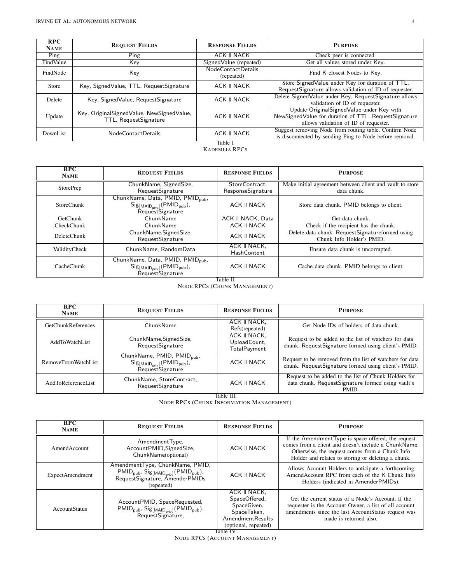| RPC<br><b>NAME</b> | <b>REQUEST FIELDS</b>                                              | <b>RESPONSE FIELDS</b>           | <b>PURPOSE</b>                                                                                                                               |  |
|--------------------|--------------------------------------------------------------------|----------------------------------|----------------------------------------------------------------------------------------------------------------------------------------------|--|
| Ping               | Ping                                                               | ACK II NACK                      | Check peer is connected.                                                                                                                     |  |
| FindValue          | Key                                                                | Signed Value (repeated)          | Get all values stored under Key.                                                                                                             |  |
| FindNode           | Key                                                                | NodeContactDetails<br>(repeated) | Find K closest Nodes to Key.                                                                                                                 |  |
| Store              | Key, SignedValue, TTL, RequestSignature                            | ACK II NACK                      | Store Signed Value under Key for duration of TTL.<br>RequestSignature allows validation of ID of requester.                                  |  |
| Delete             | Key, SignedValue, RequestSignature                                 | ACK II NACK                      | Delete Signed Value under Key. Request Signature allows<br>validation of ID of requester.                                                    |  |
| Update             | Key, OriginalSignedValue, NewSignedValue,<br>TTL, RequestSignature | ACK II NACK                      | Update OriginalSignedValue under Key with<br>NewSigned Value for duration of TTL. Request Signature<br>allows validation of ID of requester. |  |
| DownList           | NodeContactDetails                                                 | ACK II NACK                      | Suggest removing Node from routing table. Confirm Node<br>is disconnected by sending Ping to Node before removal.                            |  |
| Table 1            |                                                                    |                                  |                                                                                                                                              |  |

KADEMLIA RPCS

<span id="page-3-0"></span>

| RPC<br><b>NAME</b> | <b>REQUEST FIELDS</b>                                                                                             | <b>RESPONSE FIELDS</b>                   | <b>PURPOSE</b>                                                               |
|--------------------|-------------------------------------------------------------------------------------------------------------------|------------------------------------------|------------------------------------------------------------------------------|
| <b>StorePrep</b>   | ChunkName, SignedSize,<br>RequestSignature                                                                        | StoreContract,<br>ResponseSignature      | Make initial agreement between client and vault to store<br>data chunk.      |
| <b>StoreChunk</b>  | ChunkName, Data, PMID, PMID <sub>pub</sub> ,<br>$Sig_{[MAID_{priv}]}$ (PMID <sub>pub</sub> ),<br>RequestSignature | ACK II NACK                              | Store data chunk. PMID belongs to client.                                    |
| GetChunk           | ChunkName                                                                                                         | ACK II NACK, Data                        | Get data chunk.                                                              |
| CheckChunk         | ChunkName                                                                                                         | <b>ACK II NACK</b>                       | Check if the recipient has the chunk.                                        |
| DeleteChunk        | ChunkName, Signed Size,<br>RequestSignature                                                                       | ACK II NACK                              | Delete data chunk. RequestSignatureformed using<br>Chunk Info Holder's PMID. |
| ValidityCheck      | ChunkName, RandomData                                                                                             | ACK II NACK,<br>HashContent              | Ensure data chunk is uncorrupted.                                            |
| CacheChunk         | ChunkName, Data, PMID, PMID <sub>pub</sub> ,<br>$Sig_{[MAID_{priv}]}$ (PMID <sub>pub</sub> ),<br>RequestSignature | <b>ACK II NACK</b><br>— <del>11 11</del> | Cache data chunk. PMID belongs to client.                                    |

Table II

NODE RPCS (CHUNK MANAGEMENT)

<span id="page-3-1"></span>

| RPC<br><b>NAME</b>        | <b>REQUEST FIELDS</b>                                                                                       | <b>RESPONSE FIELDS</b>                              | <b>PURPOSE</b>                                                                                                     |
|---------------------------|-------------------------------------------------------------------------------------------------------------|-----------------------------------------------------|--------------------------------------------------------------------------------------------------------------------|
| <b>GetChunkReferences</b> | ChunkName                                                                                                   | ACK II NACK,<br>Refs(repeated)                      | Get Node IDs of holders of data chunk.                                                                             |
| AddToWatchList            | ChunkName, Signed Size,<br>RequestSignature                                                                 | <b>ACK II NACK.</b><br>UploadCount,<br>TotalPayment | Request to be added to the list of watchers for data<br>chunk. RequestSignature formed using client's PMID.        |
| RemoveFromWatchList       | ChunkName, PMID, PMID <sub>pub</sub> ,<br>$Sig_{[MAID_{priv}]}$ (PMID <sub>pub</sub> ),<br>RequestSignature | ACK II NACK                                         | Request to be removed from the list of watchers for data<br>chunk. RequestSignature formed using client's PMID.    |
| AddToReferenceList        | ChunkName, StoreContract,<br>RequestSignature                                                               | ACK II NACK                                         | Request to be added to the list of Chunk Holders for<br>data chunk. RequestSignature formed using vault's<br>PMID. |

Table III

NODE RPCS (CHUNK INFORMATION MANAGEMENT)

| RPC<br><b>NAME</b>     | <b>REQUEST FIELDS</b>                                                                                                                                                  | <b>RESPONSE FIELDS</b>                                                                                                     | <b>PURPOSE</b>                                                                                                                                                                                                     |
|------------------------|------------------------------------------------------------------------------------------------------------------------------------------------------------------------|----------------------------------------------------------------------------------------------------------------------------|--------------------------------------------------------------------------------------------------------------------------------------------------------------------------------------------------------------------|
| AmendAccount           | AmendmentType,<br>AccountPMID, Signed Size,<br>ChunkName(optional)                                                                                                     | ACK II NACK                                                                                                                | If the AmendmentType is space offered, the request<br>comes from a client and doesn't include a ChunkName.<br>Otherwise, the request comes from a Chunk Info<br>Holder and relates to storing or deleting a chunk. |
| <b>ExpectAmendment</b> | AmendmentType, ChunkName, PMID,<br>$PMID_{pub}$ , $Sig_{[MAID_{priv}]} (PMID_{pub})$ ,<br>RequestSignature, AmenderPMIDs<br>(repeated)                                 | ACK II NACK                                                                                                                | Allows Account Holders to anticipate a forthcoming<br>AmendAccount RPC from each of the K Chunk Info<br>Holders (indicated in AmenderPMIDs).                                                                       |
| <b>AccountStatus</b>   | AccountPMID, SpaceRequested,<br>$\mathsf{PMID}_\mathsf{pub}, \, \mathsf{Sig}_\mathsf{[MAID}_\mathsf{priv}]}\mathsf{(PMID}_\mathsf{pub}),\\ \mathsf{RequestSignature},$ | ACK II NACK,<br>SpaceOffered,<br>SpaceGiven,<br>SpaceTaken,<br><b>AmendmentResults</b><br>(optional, repeated)<br>Table IV | Get the current status of a Node's Account. If the<br>requester is the Account Owner, a list of all account<br>amendments since the last AccountStatus request was<br>made is returned also.                       |

NODE RPCS (ACCOUNT MANAGEMENT)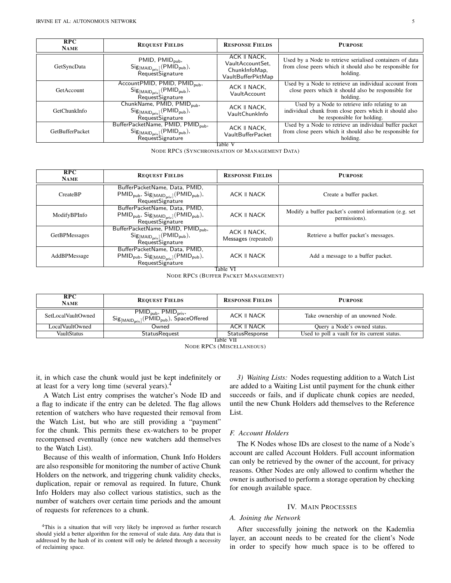| RPC<br><b>NAME</b>     | <b>REQUEST FIELDS</b>                                                                                              | <b>RESPONSE FIELDS</b>                                                 | <b>PURPOSE</b>                                                                                                                          |
|------------------------|--------------------------------------------------------------------------------------------------------------------|------------------------------------------------------------------------|-----------------------------------------------------------------------------------------------------------------------------------------|
| GetSyncData            | PMID, $PMID_{pub}$ ,<br>$Sig_{[MAID_{priv}]}$ (PMID <sub>pub</sub> ),<br>RequestSignature                          | ACK II NACK,<br>VaultAccountSet.<br>ChunkInfoMap,<br>VaultBufferPktMap | Used by a Node to retrieve serialised containers of data<br>from close peers which it should also be responsible for<br>holding.        |
| GetAccount             | AccountPMID, PMID, PMID <sub>pub</sub> ,<br>$Sig_{[MAID_{priv}]}$ (PMID <sub>pub</sub> ),<br>RequestSignature      | ACK II NACK.<br>VaultAccount                                           | Used by a Node to retrieve an individual account from<br>close peers which it should also be responsible for<br>holding.                |
| GetChunkInfo           | ChunkName, PMID, PMID <sub>pub</sub> ,<br>$Sig_{[MAID_{priv}]}$ (PMID <sub>pub</sub> ),<br>RequestSignature        | ACK II NACK.<br>VaultChunkInfo                                         | Used by a Node to retrieve info relating to an<br>individual chunk from close peers which it should also<br>be responsible for holding. |
| <b>GetBufferPacket</b> | BufferPacketName, PMID, PMID <sub>pub</sub> ,<br>$Sig_{[MAID_{priv}]}$ (PMID <sub>pub</sub> ),<br>RequestSignature | ACK II NACK,<br>VaultBufferPacket<br>Table ${\rm V}$                   | Used by a Node to retrieve an individual buffer packet<br>from close peers which it should also be responsible for<br>holding.          |

NODE RPCS (SYNCHRONISATION OF MANAGEMENT DATA)

| RPC<br><b>NAME</b>   | <b>REQUEST FIELDS</b>                                                                                                                                                    | <b>RESPONSE FIELDS</b>              | <b>PURPOSE</b>                                                          |
|----------------------|--------------------------------------------------------------------------------------------------------------------------------------------------------------------------|-------------------------------------|-------------------------------------------------------------------------|
| CreateBP             | BufferPacketName, Data, PMID,<br>$\mathsf{PMID}_\mathsf{pub},\, \mathsf{Sig}_\mathsf{[MAID}_\mathsf{priv}]}\, (\mathsf{PMID}_\mathsf{pub}),\\ \mathsf{RequestSignature}$ | ACK II NACK                         | Create a buffer packet.                                                 |
| ModifyBPInfo         | BufferPacketName, Data, PMID,<br>$\mathsf{PMID}_\mathsf{pub},\, \mathsf{Sig}_\mathsf{[MAID}_\mathsf{priv}]}\, (\mathsf{PMID}_\mathsf{pub}),\\ \mathsf{RequestSignature}$ | ACK II NACK                         | Modify a buffer packet's control information (e.g. set<br>permissions). |
| <b>GetBPMessages</b> | BufferPacketName, PMID, PMID <sub>pub</sub> ,<br>$Sig_{[MAID_{priv}]}$ (PMID <sub>pub</sub> ),<br>RequestSignature                                                       | ACK II NACK,<br>Messages (repeated) | Retrieve a buffer packet's messages.                                    |
| AddBPMessage         | BufferPacketName, Data, PMID,<br>$\mathsf{PMID}_\mathsf{pub},\, \mathsf{Sig}_\mathsf{[MAID}_\mathsf{priv}]}\, (\mathsf{PMID}_\mathsf{pub}),\\ \mathsf{RequestSignature}$ | ACK II NACK                         | Add a message to a buffer packet.                                       |

Table VI

NODE RPCS (BUFFER PACKET MANAGEMENT)

| <b>RPC</b><br><b>NAME</b> | <b>REQUEST FIELDS</b>                                                                                                                                                       | <b>RESPONSE FIELDS</b> | <b>PURPOSE</b>                               |  |
|---------------------------|-----------------------------------------------------------------------------------------------------------------------------------------------------------------------------|------------------------|----------------------------------------------|--|
| SetLocalVaultOwned        | $\mathsf{PMID}_{\mathsf{pub}},\, \mathsf{PMID}_{\mathsf{priv}},\,$<br>$\mathsf{Sig}_{\mathsf{[MAID}_{\textsf{priv}}]}(\mathsf{PMID}_{\mathsf{pub}}), \mathsf{SpaceOffered}$ | ACK II NACK            | Take ownership of an unowned Node.           |  |
| LocalVaultOwned           | Owned                                                                                                                                                                       | ACK II NACK            | Query a Node's owned status.                 |  |
| <b>VaultStatus</b>        | <b>StatusRequest</b>                                                                                                                                                        | StatusResponse         | Used to poll a vault for its current status. |  |
| Table VII                 |                                                                                                                                                                             |                        |                                              |  |

NODE RPCS (MISCELLANEOUS)

<span id="page-4-4"></span>it, in which case the chunk would just be kept indefinitely or at least for a very long time (several years).[4](#page-4-5)

A Watch List entry comprises the watcher's Node ID and a flag to indicate if the entry can be deleted. The flag allows retention of watchers who have requested their removal from the Watch List, but who are still providing a "payment" for the chunk. This permits these ex-watchers to be proper recompensed eventually (once new watchers add themselves to the Watch List).

Because of this wealth of information, Chunk Info Holders are also responsible for monitoring the number of active Chunk Holders on the network, and triggering chunk validity checks, duplication, repair or removal as required. In future, Chunk Info Holders may also collect various statistics, such as the number of watchers over certain time periods and the amount of requests for references to a chunk.

<span id="page-4-5"></span><sup>4</sup>This is a situation that will very likely be improved as further research should yield a better algorithm for the removal of stale data. Any data that is addressed by the hash of its content will only be deleted through a necessity of reclaiming space.

<span id="page-4-0"></span>*3) Waiting Lists:* Nodes requesting addition to a Watch List are added to a Waiting List until payment for the chunk either succeeds or fails, and if duplicate chunk copies are needed, until the new Chunk Holders add themselves to the Reference List.

# <span id="page-4-1"></span>*F. Account Holders*

The K Nodes whose IDs are closest to the name of a Node's account are called Account Holders. Full account information can only be retrieved by the owner of the account, for privacy reasons. Other Nodes are only allowed to confirm whether the owner is authorised to perform a storage operation by checking for enough available space.

#### IV. MAIN PROCESSES

#### <span id="page-4-3"></span><span id="page-4-2"></span>*A. Joining the Network*

After successfully joining the network on the Kademlia layer, an account needs to be created for the client's Node in order to specify how much space is to be offered to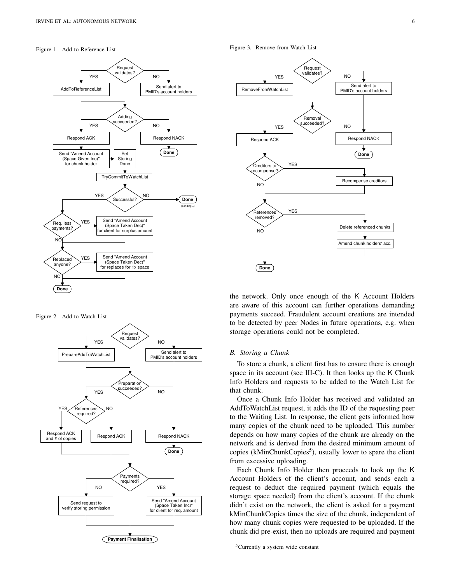#### Figure 1. Add to Reference List

<span id="page-5-1"></span>

Figure 2. Add to Watch List

<span id="page-5-2"></span>

<span id="page-5-3"></span>Figure 3. Remove from Watch List



the network. Only once enough of the K Account Holders are aware of this account can further operations demanding payments succeed. Fraudulent account creations are intended to be detected by peer Nodes in future operations, e.g. when storage operations could not be completed.

## <span id="page-5-0"></span>*B. Storing a Chunk*

To store a chunk, a client first has to ensure there is enough space in its account (see [III-C\)](#page-2-8). It then looks up the K Chunk Info Holders and requests to be added to the Watch List for that chunk.

Once a Chunk Info Holder has received and validated an AddToWatchList request, it adds the ID of the requesting peer to the Waiting List. In response, the client gets informed how many copies of the chunk need to be uploaded. This number depends on how many copies of the chunk are already on the network and is derived from the desired minimum amount of copies (kMinChunkCopies<sup>[5](#page-5-4)</sup>), usually lower to spare the client from excessive uploading.

Each Chunk Info Holder then proceeds to look up the K Account Holders of the client's account, and sends each a request to deduct the required payment (which equals the storage space needed) from the client's account. If the chunk didn't exist on the network, the client is asked for a payment kMinChunkCopies times the size of the chunk, independent of how many chunk copies were requested to be uploaded. If the chunk did pre-exist, then no uploads are required and payment

<span id="page-5-4"></span><sup>5</sup>Currently a system wide constant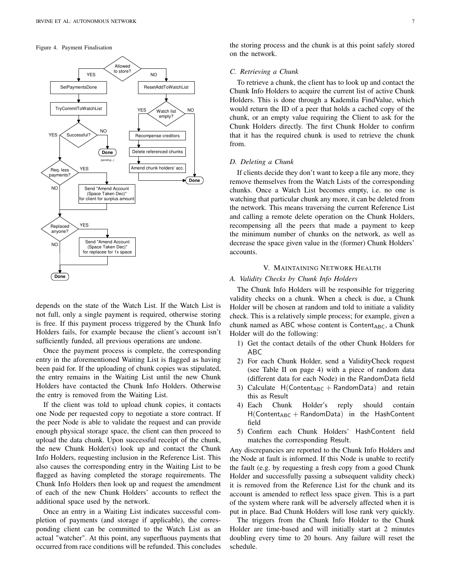#### Figure 4. Payment Finalisation



depends on the state of the Watch List. If the Watch List is not full, only a single payment is required, otherwise storing is free. If this payment process triggered by the Chunk Info Holders fails, for example because the client's account isn't sufficiently funded, all previous operations are undone.

Once the payment process is complete, the corresponding entry in the aforementioned Waiting List is flagged as having been paid for. If the uploading of chunk copies was stipulated, the entry remains in the Waiting List until the new Chunk Holders have contacted the Chunk Info Holders. Otherwise the entry is removed from the Waiting List.

If the client was told to upload chunk copies, it contacts one Node per requested copy to negotiate a store contract. If the peer Node is able to validate the request and can provide enough physical storage space, the client can then proceed to upload the data chunk. Upon successful receipt of the chunk, the new Chunk Holder(s) look up and contact the Chunk Info Holders, requesting inclusion in the Reference List. This also causes the corresponding entry in the Waiting List to be flagged as having completed the storage requirements. The Chunk Info Holders then look up and request the amendment of each of the new Chunk Holders' accounts to reflect the additional space used by the network.

Once an entry in a Waiting List indicates successful completion of payments (and storage if applicable), the corresponding client can be committed to the Watch List as an actual "watcher". At this point, any superfluous payments that occurred from race conditions will be refunded. This concludes the storing process and the chunk is at this point safely stored on the network.

## <span id="page-6-0"></span>*C. Retrieving a Chunk*

To retrieve a chunk, the client has to look up and contact the Chunk Info Holders to acquire the current list of active Chunk Holders. This is done through a Kademlia FindValue, which would return the ID of a peer that holds a cached copy of the chunk, or an empty value requiring the Client to ask for the Chunk Holders directly. The first Chunk Holder to confirm that it has the required chunk is used to retrieve the chunk from.

#### <span id="page-6-1"></span>*D. Deleting a Chunk*

If clients decide they don't want to keep a file any more, they remove themselves from the Watch Lists of the corresponding chunks. Once a Watch List becomes empty, i.e. no one is watching that particular chunk any more, it can be deleted from the network. This means traversing the current Reference List and calling a remote delete operation on the Chunk Holders, recompensing all the peers that made a payment to keep the minimum number of chunks on the network, as well as decrease the space given value in the (former) Chunk Holders' accounts.

## V. MAINTAINING NETWORK HEALTH

# <span id="page-6-3"></span><span id="page-6-2"></span>*A. Validity Checks by Chunk Info Holders*

The Chunk Info Holders will be responsible for triggering validity checks on a chunk. When a check is due, a Chunk Holder will be chosen at random and told to initiate a validity check. This is a relatively simple process; for example, given a chunk named as ABC whose content is Content<sub>ABC</sub>, a Chunk Holder will do the following:

- 1) Get the contact details of the other Chunk Holders for ABC
- 2) For each Chunk Holder, send a ValidityCheck request (see Table [II](#page-3-1) on page [4\)](#page-3-1) with a piece of random data (different data for each Node) in the RandomData field
- 3) Calculate  $H(Content_{ABC} + RandomData)$  and retain this as Result
- 4) Each Chunk Holder's reply should contain  $H(Content_{ABC} + RandomData)$  in the HashContent field
- 5) Confirm each Chunk Holders' HashContent field matches the corresponding Result.

Any discrepancies are reported to the Chunk Info Holders and the Node at fault is informed. If this Node is unable to rectify the fault (e.g. by requesting a fresh copy from a good Chunk Holder and successfully passing a subsequent validity check) it is removed from the Reference List for the chunk and its account is amended to reflect less space given. This is a part of the system where rank will be adversely affected when it is put in place. Bad Chunk Holders will lose rank very quickly.

The triggers from the Chunk Info Holder to the Chunk Holder are time-based and will initially start at 2 minutes doubling every time to 20 hours. Any failure will reset the schedule.